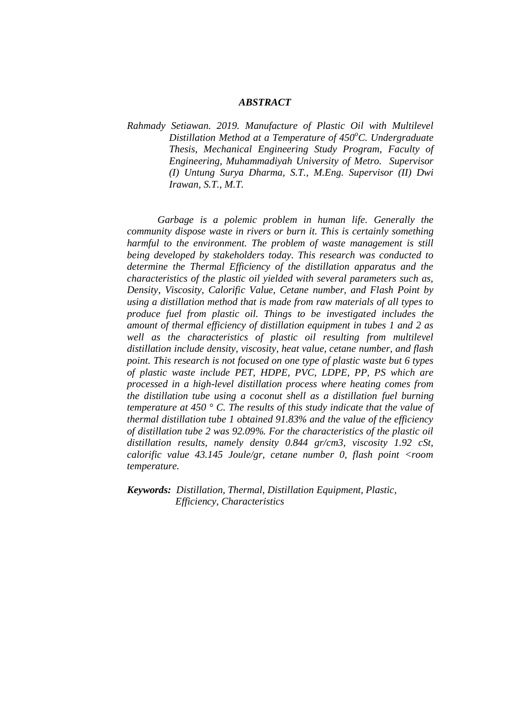## *ABSTRACT*

*Rahmady Setiawan. 2019. Manufacture of Plastic Oil with Multilevel Distillation Method at a Temperature of 450<sup>o</sup>C. Undergraduate Thesis, Mechanical Engineering Study Program, Faculty of Engineering, Muhammadiyah University of Metro. Supervisor (I) Untung Surya Dharma, S.T., M.Eng. Supervisor (II) Dwi Irawan, S.T., M.T.*

*Garbage is a polemic problem in human life. Generally the community dispose waste in rivers or burn it. This is certainly something harmful to the environment. The problem of waste management is still being developed by stakeholders today. This research was conducted to determine the Thermal Efficiency of the distillation apparatus and the characteristics of the plastic oil yielded with several parameters such as, Density, Viscosity, Calorific Value, Cetane number, and Flash Point by using a distillation method that is made from raw materials of all types to produce fuel from plastic oil. Things to be investigated includes the amount of thermal efficiency of distillation equipment in tubes 1 and 2 as*  well as the characteristics of plastic oil resulting from multilevel *distillation include density, viscosity, heat value, cetane number, and flash point. This research is not focused on one type of plastic waste but 6 types of plastic waste include PET, HDPE, PVC, LDPE, PP, PS which are processed in a high-level distillation process where heating comes from the distillation tube using a coconut shell as a distillation fuel burning temperature at 450 ° C. The results of this study indicate that the value of thermal distillation tube 1 obtained 91.83% and the value of the efficiency of distillation tube 2 was 92.09%. For the characteristics of the plastic oil distillation results, namely density 0.844 gr/cm3, viscosity 1.92 cSt, calorific value 43.145 Joule/gr, cetane number 0, flash point <room temperature.*

*Keywords: Distillation, Thermal, Distillation Equipment, Plastic, Efficiency, Characteristics*